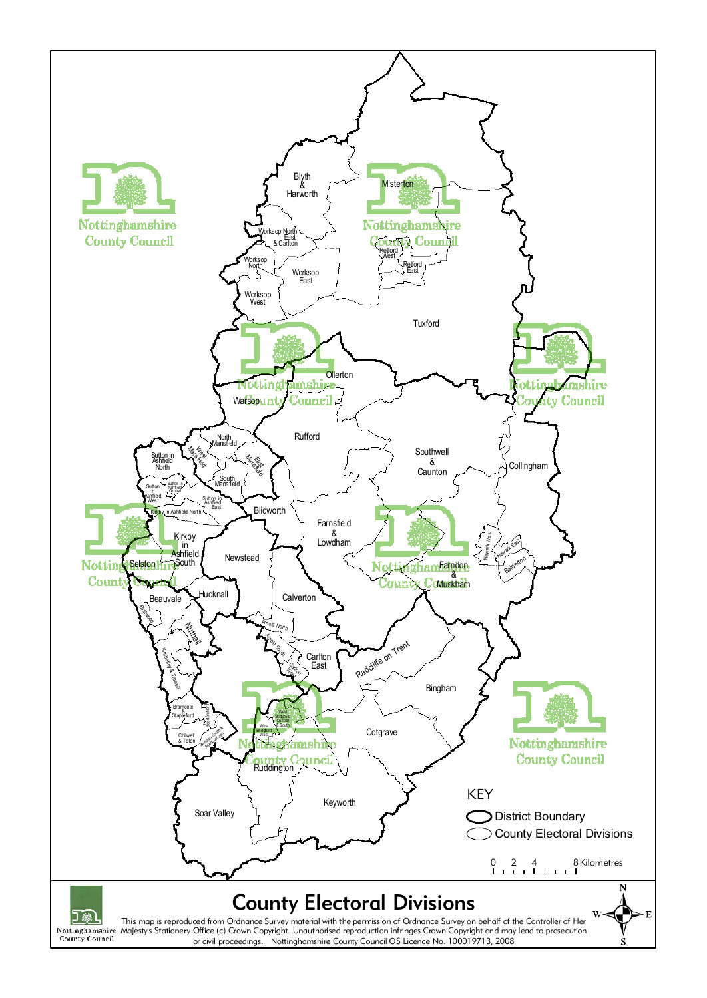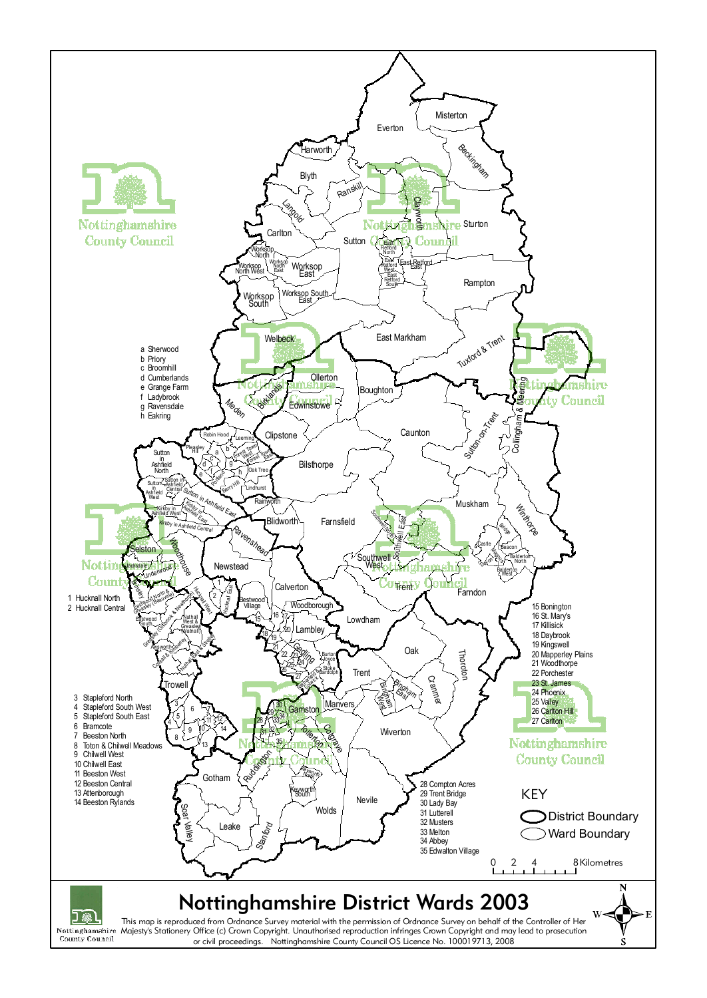